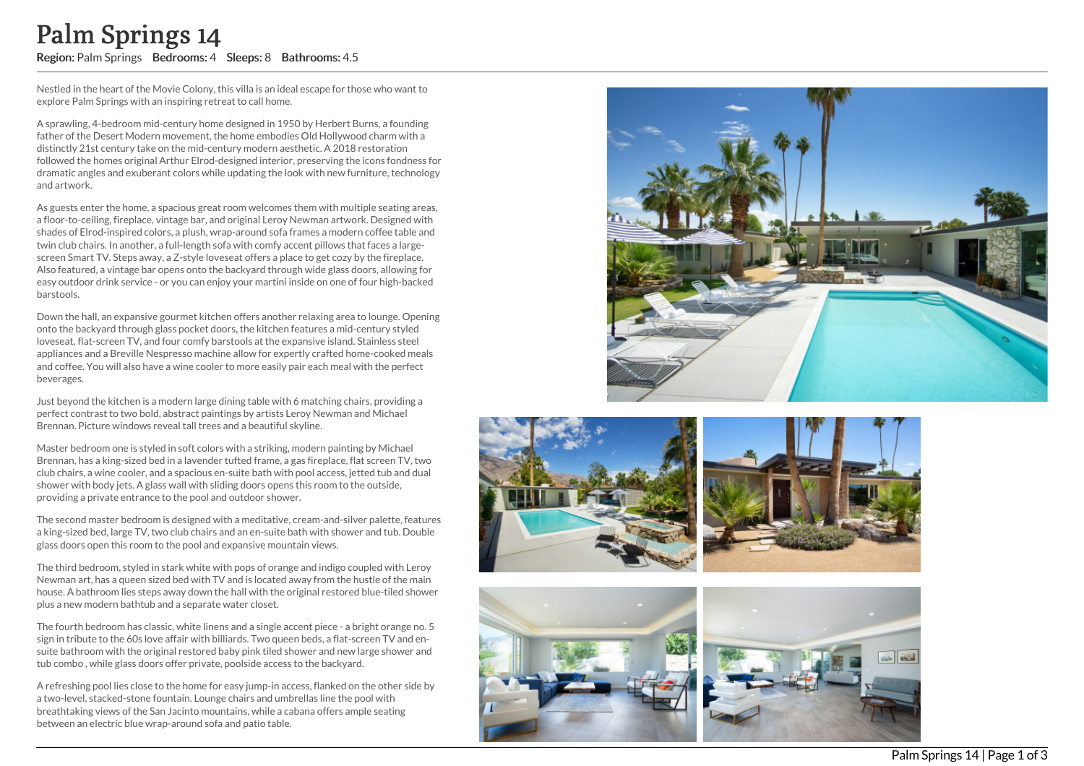Nestled in the heart of the Movie Colony, this villa is an ideal escape for those who want to explore Palm Springs with an inspiring retreat to call home.

A sprawling, 4-bedroom mid-century home designed in 1950 by Herbert Burns, a founding father of the Desert Modern movement, the home embodies Old Hollywood charm with a distinctly 21st century take on the mid-century modern aesthetic. A 2018 restoration followed the homes original Arthur Elrod-designed interior, preserving the icons fondness for dramatic angles and exuberant colors while updating the look with new furniture, technology and artwork.

As guests enter the home, a spacious great room welcomes them with multiple seating areas, a floor-to-ceiling, fireplace, vintage bar, and original Leroy Newman artwork. Designed with shades of Elrod-inspired colors, a plush, wrap-around sofa frames a modern coffee table and twin club chairs. In another, a full-length sofa with comfy accent pillows that faces a large screen Smart TV. Steps away, a Z-style loveseat offers a place to get cozy by the fireplace. Also featured, a vintage bar opens onto the backyard through wide glass doors, allowing for easy outdoor drink service - or you can enjoy your martini inside on one of four high-backed barstools. **Palm Springs Between 4 Sleeps: 8 and Electric Blue and Springs 14 Regions: 4 Sleeps: 8 Bathrooms: 45 Nested in the heart of the Movie Colony, this villa is an ideal escape for the volve Colony. This villa is an ideal esca** 

Down the hall, an expansive gourmet kitchen offers another relaxing area to lounge. Opening onto the backyard through glass pocket doors, the kitchen features a mid-century styled loveseat, flat-screen TV, and four comfy barstools at the expansive island. Stainless steel appliances and a Breville Nespresso machine allow for expertly crafted home-cooked meals and coffee. You will also have a wine cooler to more easily pair each meal with the perfect beverages.

Just beyond the kitchen is a modern large dining table with 6 matching chairs, providing a perfect contrast to two bold, abstract paintings by artists Leroy Newman and Michael Brennan. Picture windows reveal tall trees and a beautiful skyline.

Master bedroom one is styled in soft colors with a striking, modern painting by Michael Brennan, has a king-sized bed in a lavender tufted frame, a gas fireplace, flat screen TV, two club chairs, a wine cooler, and a spacious en-suite bath with pool access, jetted tub and dual shower with body jets. A glass wall with sliding doors opens this room to the outside, providing a private entrance to the pool and outdoor shower.

The second master bedroom is designed with a meditative, cream-and-silver palette, features a king-sized bed, large TV, two club chairs and an en-suite bath with shower and tub. Double glass doors open this room to the pool and expansive mountain views.

The third bedroom, styled in stark white with pops of orange and indigo coupled with Leroy Newman art, has a queen sized bed with TV and is located away from the hustle of the main house. A bathroom lies steps away down the hall with the original restored blue-tiled shower plus a new modern bathtub and a separate water closet.

The fourth bedroom has classic, white linens and a single accent piece - a bright orange no. 5 sign in tribute to the 60s love affair with billiards. Two queen beds, a flat-screen TV and en suite bathroom with the original restored baby pink tiled shower and new large shower and tub combo , while glass doors offer private, poolside access to the backyard.

A refreshing pool lies close to the home for easy jump-in access, flanked on the other side by a two-level, stacked-stone fountain. Lounge chairs and umbrellas line the pool with breathtaking views of the San Jacinto mountains, while a cabana offers ample seating







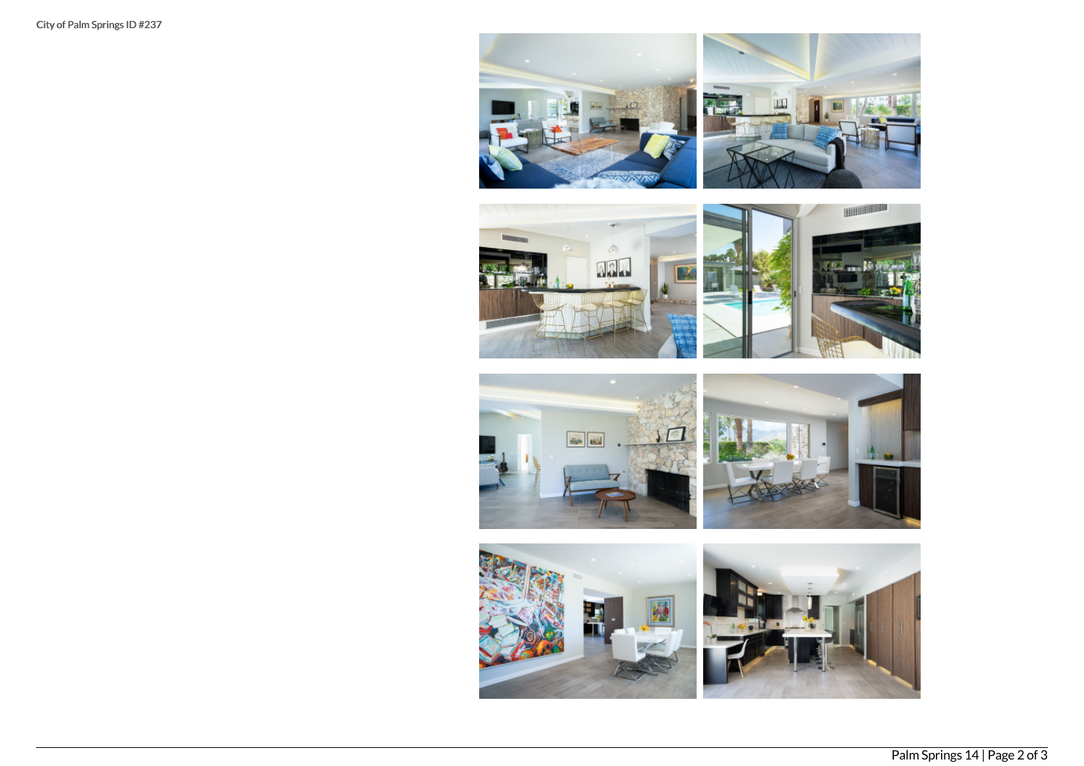